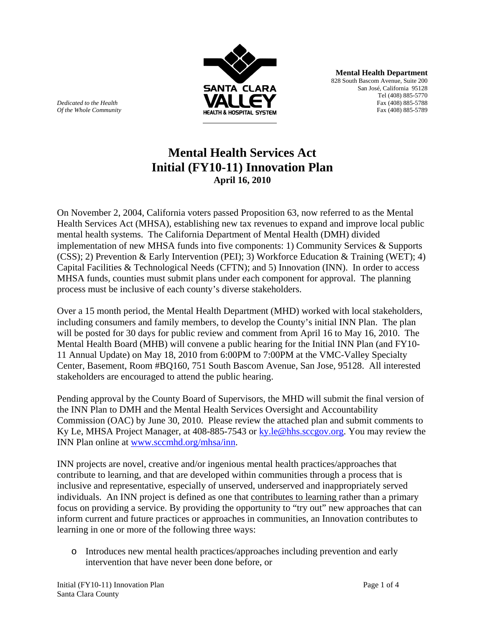

**Mental Health Department** 828 South Bascom Avenue, Suite 200 San José, California 95128 Tel (408) 885-5770 *Dedicated to the Health* Fax (408) 885-5788

## **Mental Health Services Act Initial (FY10-11) Innovation Plan April 16, 2010**

On November 2, 2004, California voters passed Proposition 63, now referred to as the Mental Health Services Act (MHSA), establishing new tax revenues to expand and improve local public mental health systems. The California Department of Mental Health (DMH) divided implementation of new MHSA funds into five components: 1) Community Services & Supports (CSS); 2) Prevention & Early Intervention (PEI); 3) Workforce Education & Training (WET); 4) Capital Facilities & Technological Needs (CFTN); and 5) Innovation (INN). In order to access MHSA funds, counties must submit plans under each component for approval. The planning process must be inclusive of each county's diverse stakeholders.

Over a 15 month period, the Mental Health Department (MHD) worked with local stakeholders, including consumers and family members, to develop the County's initial INN Plan. The plan will be posted for 30 days for public review and comment from April 16 to May 16, 2010. The Mental Health Board (MHB) will convene a public hearing for the Initial INN Plan (and FY10- 11 Annual Update) on May 18, 2010 from 6:00PM to 7:00PM at the VMC-Valley Specialty Center, Basement, Room #BQ160, 751 South Bascom Avenue, San Jose, 95128. All interested stakeholders are encouraged to attend the public hearing.

Pending approval by the County Board of Supervisors, the MHD will submit the final version of the INN Plan to DMH and the Mental Health Services Oversight and Accountability Commission (OAC) by June 30, 2010. Please review the attached plan and submit comments to Ky Le, MHSA Project Manager, at 408-885-7543 or ky.le@hhs.sccgov.org. You may review the INN Plan online at www.sccmhd.org/mhsa/inn.

INN projects are novel, creative and/or ingenious mental health practices/approaches that contribute to learning, and that are developed within communities through a process that is inclusive and representative, especially of unserved, underserved and inappropriately served individuals. An INN project is defined as one that contributes to learning rather than a primary focus on providing a service. By providing the opportunity to "try out" new approaches that can inform current and future practices or approaches in communities, an Innovation contributes to learning in one or more of the following three ways:

o Introduces new mental health practices/approaches including prevention and early intervention that have never been done before, or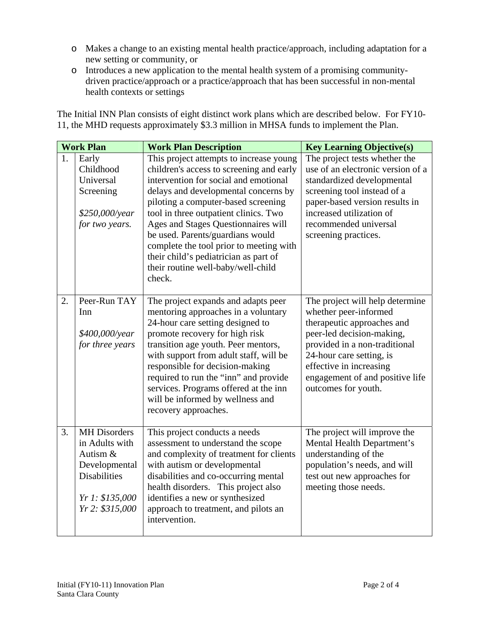- o Makes a change to an existing mental health practice/approach, including adaptation for a new setting or community, or
- o Introduces a new application to the mental health system of a promising communitydriven practice/approach or a practice/approach that has been successful in non-mental health contexts or settings

The Initial INN Plan consists of eight distinct work plans which are described below. For FY10- 11, the MHD requests approximately \$3.3 million in MHSA funds to implement the Plan.

| <b>Work Plan</b> |                                                                                                                                 | <b>Work Plan Description</b>                                                                                                                                                                                                                                                                                                                                                                                                                                        | <b>Key Learning Objective(s)</b>                                                                                                                                                                                                                                      |
|------------------|---------------------------------------------------------------------------------------------------------------------------------|---------------------------------------------------------------------------------------------------------------------------------------------------------------------------------------------------------------------------------------------------------------------------------------------------------------------------------------------------------------------------------------------------------------------------------------------------------------------|-----------------------------------------------------------------------------------------------------------------------------------------------------------------------------------------------------------------------------------------------------------------------|
| 1.               | Early<br>Childhood<br>Universal<br>Screening<br>$$250,000/\text{year}$<br>for two years.                                        | This project attempts to increase young<br>children's access to screening and early<br>intervention for social and emotional<br>delays and developmental concerns by<br>piloting a computer-based screening<br>tool in three outpatient clinics. Two<br>Ages and Stages Questionnaires will<br>be used. Parents/guardians would<br>complete the tool prior to meeting with<br>their child's pediatrician as part of<br>their routine well-baby/well-child<br>check. | The project tests whether the<br>use of an electronic version of a<br>standardized developmental<br>screening tool instead of a<br>paper-based version results in<br>increased utilization of<br>recommended universal<br>screening practices.                        |
| $\overline{2}$ . | Peer-Run TAY<br>Inn<br>\$400,000/year<br>for three years                                                                        | The project expands and adapts peer<br>mentoring approaches in a voluntary<br>24-hour care setting designed to<br>promote recovery for high risk<br>transition age youth. Peer mentors,<br>with support from adult staff, will be<br>responsible for decision-making<br>required to run the "inn" and provide<br>services. Programs offered at the inn<br>will be informed by wellness and<br>recovery approaches.                                                  | The project will help determine<br>whether peer-informed<br>therapeutic approaches and<br>peer-led decision-making,<br>provided in a non-traditional<br>24-hour care setting, is<br>effective in increasing<br>engagement of and positive life<br>outcomes for youth. |
| 3.               | <b>MH</b> Disorders<br>in Adults with<br>Autism &<br>Developmental<br><b>Disabilities</b><br>Yr 1: \$135,000<br>Yr 2: \$315,000 | This project conducts a needs<br>assessment to understand the scope<br>and complexity of treatment for clients<br>with autism or developmental<br>disabilities and co-occurring mental<br>health disorders. This project also<br>identifies a new or synthesized<br>approach to treatment, and pilots an<br>intervention.                                                                                                                                           | The project will improve the<br>Mental Health Department's<br>understanding of the<br>population's needs, and will<br>test out new approaches for<br>meeting those needs.                                                                                             |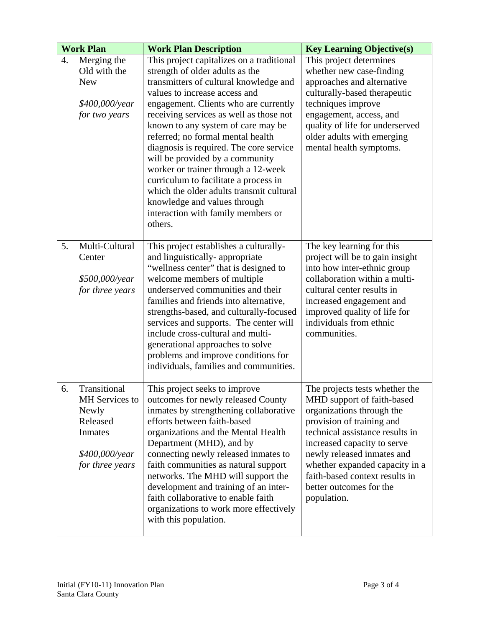| <b>Work Plan</b> |                                                                                                     | <b>Work Plan Description</b>                                                                                                                                                                                                                                                                                                                                                                                                                                                                                                                                                                                      | <b>Key Learning Objective(s)</b>                                                                                                                                                                                                                                                                                                     |
|------------------|-----------------------------------------------------------------------------------------------------|-------------------------------------------------------------------------------------------------------------------------------------------------------------------------------------------------------------------------------------------------------------------------------------------------------------------------------------------------------------------------------------------------------------------------------------------------------------------------------------------------------------------------------------------------------------------------------------------------------------------|--------------------------------------------------------------------------------------------------------------------------------------------------------------------------------------------------------------------------------------------------------------------------------------------------------------------------------------|
| 4.               | Merging the<br>Old with the<br><b>New</b><br>\$400,000/year<br>for two years                        | This project capitalizes on a traditional<br>strength of older adults as the<br>transmitters of cultural knowledge and<br>values to increase access and<br>engagement. Clients who are currently<br>receiving services as well as those not<br>known to any system of care may be<br>referred; no formal mental health<br>diagnosis is required. The core service<br>will be provided by a community<br>worker or trainer through a 12-week<br>curriculum to facilitate a process in<br>which the older adults transmit cultural<br>knowledge and values through<br>interaction with family members or<br>others. | This project determines<br>whether new case-finding<br>approaches and alternative<br>culturally-based therapeutic<br>techniques improve<br>engagement, access, and<br>quality of life for underserved<br>older adults with emerging<br>mental health symptoms.                                                                       |
| 5.               | Multi-Cultural<br>Center<br>\$500,000/year<br>for three years                                       | This project establishes a culturally-<br>and linguistically-appropriate<br>"wellness center" that is designed to<br>welcome members of multiple<br>underserved communities and their<br>families and friends into alternative,<br>strengths-based, and culturally-focused<br>services and supports. The center will<br>include cross-cultural and multi-<br>generational approaches to solve<br>problems and improve conditions for<br>individuals, families and communities.                                                                                                                                    | The key learning for this<br>project will be to gain insight<br>into how inter-ethnic group<br>collaboration within a multi-<br>cultural center results in<br>increased engagement and<br>improved quality of life for<br>individuals from ethnic<br>communities.                                                                    |
| 6.               | Transitional<br>MH Services to<br>Newly<br>Released<br>Inmates<br>\$400,000/year<br>for three years | This project seeks to improve<br>outcomes for newly released County<br>inmates by strengthening collaborative<br>efforts between faith-based<br>organizations and the Mental Health<br>Department (MHD), and by<br>connecting newly released inmates to<br>faith communities as natural support<br>networks. The MHD will support the<br>development and training of an inter-<br>faith collaborative to enable faith<br>organizations to work more effectively<br>with this population.                                                                                                                          | The projects tests whether the<br>MHD support of faith-based<br>organizations through the<br>provision of training and<br>technical assistance results in<br>increased capacity to serve<br>newly released inmates and<br>whether expanded capacity in a<br>faith-based context results in<br>better outcomes for the<br>population. |